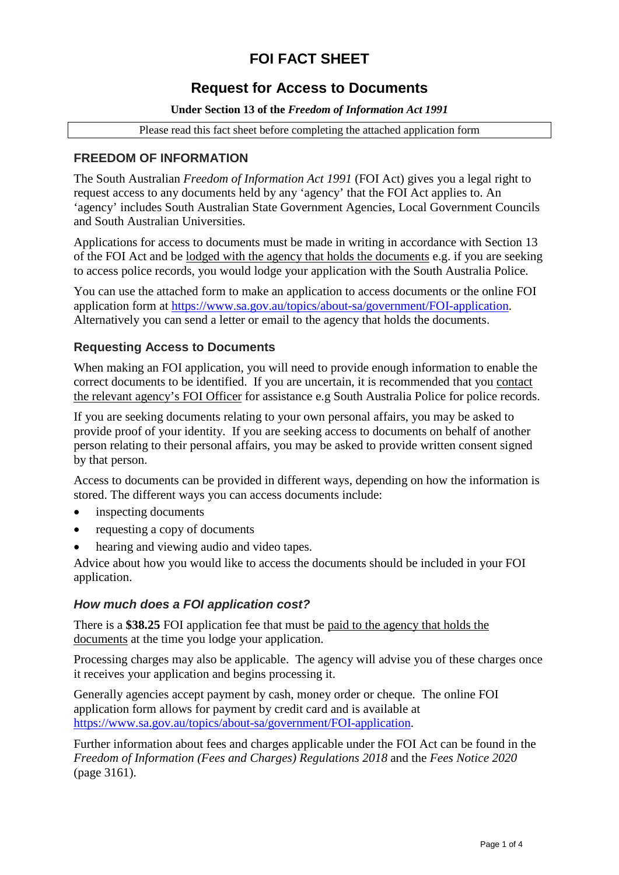# **FOI FACT SHEET**

## **Request for Access to Documents**

#### **Under Section 13 of the** *Freedom of Information Act 1991*

Please read this fact sheet before completing the attached application form

### **FREEDOM OF INFORMATION**

The South Australian *Freedom of Information Act 1991* (FOI Act) gives you a legal right to request access to any documents held by any 'agency' that the FOI Act applies to. An 'agency' includes South Australian State Government Agencies, Local Government Councils and South Australian Universities.

Applications for access to documents must be made in writing in accordance with Section 13 of the FOI Act and be lodged with the agency that holds the documents e.g. if you are seeking to access police records, you would lodge your application with the South Australia Police.

You can use the attached form to make an application to access documents or the online FOI application form at [https://www.sa.gov.au/topics/about-sa/government/FOI-application.](https://www.sa.gov.au/topics/about-sa/government/FOI-application) Alternatively you can send a letter or email to the agency that holds the documents.

#### **Requesting Access to Documents**

When making an FOI application, you will need to provide enough information to enable the correct documents to be identified. If you are uncertain, it is recommended that you contact the relevant agency's FOI Officer for assistance e.g South Australia Police for police records.

If you are seeking documents relating to your own personal affairs, you may be asked to provide proof of your identity. If you are seeking access to documents on behalf of another person relating to their personal affairs, you may be asked to provide written consent signed by that person.

Access to documents can be provided in different ways, depending on how the information is stored. The different ways you can access documents include:

- inspecting documents
- requesting a copy of documents
- hearing and viewing audio and video tapes.

Advice about how you would like to access the documents should be included in your FOI application.

#### *How much does a FOI application cost?*

There is a **\$38.25** FOI application fee that must be paid to the agency that holds the documents at the time you lodge your application.

Processing charges may also be applicable. The agency will advise you of these charges once it receives your application and begins processing it.

Generally agencies accept payment by cash, money order or cheque. The online FOI application form allows for payment by credit card and is available at [https://www.sa.gov.au/topics/about-sa/government/FOI-application.](https://www.sa.gov.au/topics/about-sa/government/FOI-application)

Further information about fees and charges applicable under the FOI Act can be found in the *Freedom of Information (Fees and Charges) Regulations 2018* and the *Fees Notice 2020* (page 3161).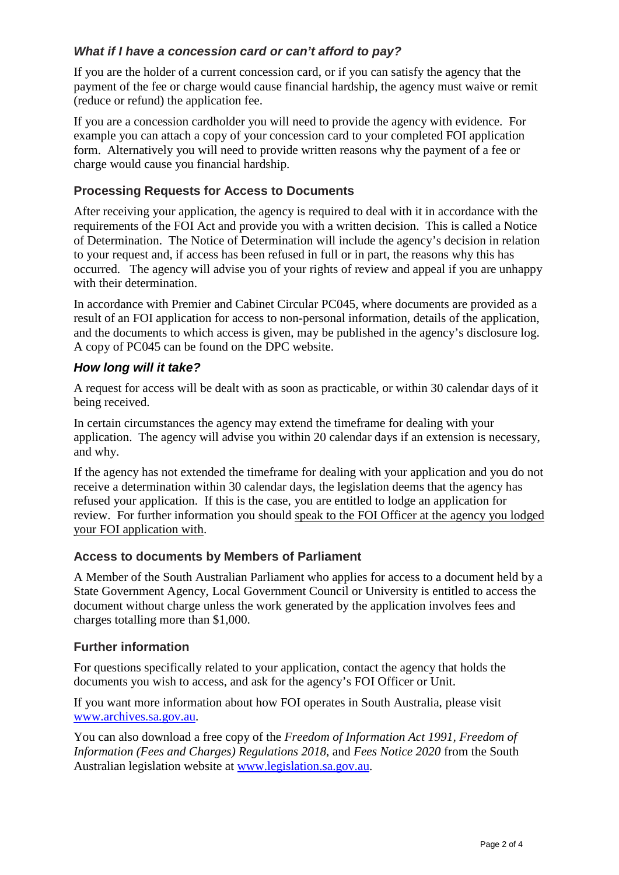### *What if I have a concession card or can't afford to pay?*

If you are the holder of a current concession card, or if you can satisfy the agency that the payment of the fee or charge would cause financial hardship, the agency must waive or remit (reduce or refund) the application fee.

If you are a concession cardholder you will need to provide the agency with evidence. For example you can attach a copy of your concession card to your completed FOI application form. Alternatively you will need to provide written reasons why the payment of a fee or charge would cause you financial hardship.

### **Processing Requests for Access to Documents**

After receiving your application, the agency is required to deal with it in accordance with the requirements of the FOI Act and provide you with a written decision. This is called a Notice of Determination. The Notice of Determination will include the agency's decision in relation to your request and, if access has been refused in full or in part, the reasons why this has occurred. The agency will advise you of your rights of review and appeal if you are unhappy with their determination.

In accordance with Premier and Cabinet Circular PC045, where documents are provided as a result of an FOI application for access to non-personal information, details of the application, and the documents to which access is given, may be published in the agency's disclosure log. A copy of PC045 can be found on the DPC website.

#### *How long will it take?*

A request for access will be dealt with as soon as practicable, or within 30 calendar days of it being received.

In certain circumstances the agency may extend the timeframe for dealing with your application. The agency will advise you within 20 calendar days if an extension is necessary, and why.

If the agency has not extended the timeframe for dealing with your application and you do not receive a determination within 30 calendar days, the legislation deems that the agency has refused your application. If this is the case, you are entitled to lodge an application for review. For further information you should speak to the FOI Officer at the agency you lodged your FOI application with.

#### **Access to documents by Members of Parliament**

A Member of the South Australian Parliament who applies for access to a document held by a State Government Agency, Local Government Council or University is entitled to access the document without charge unless the work generated by the application involves fees and charges totalling more than \$1,000.

#### **Further information**

For questions specifically related to your application, contact the agency that holds the documents you wish to access, and ask for the agency's FOI Officer or Unit.

If you want more information about how FOI operates in South Australia, please visit [www.archives.sa.gov.au.](http://www.archives.sa.gov.au/)

You can also download a free copy of the *Freedom of Information Act 1991, Freedom of Information (Fees and Charges) Regulations 2018*, and *Fees Notice 2020* from the South Australian legislation website at [www.legislation.sa.gov.au.](http://www.legislation.sa.gov.au/)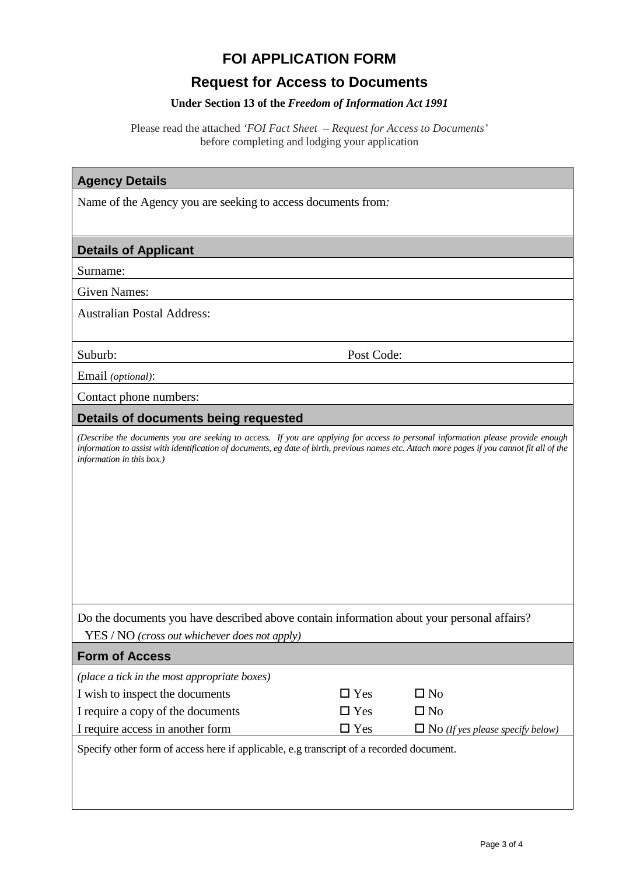# **FOI APPLICATION FORM**

# **Request for Access to Documents**

### **Under Section 13 of the** *Freedom of Information Act 1991*

Please read the attached *'FOI Fact Sheet – Request for Access to Documents'* before completing and lodging your application

| <b>Agency Details</b>                                                                                                                                                                                                                                                                                        |               |                                         |  |  |
|--------------------------------------------------------------------------------------------------------------------------------------------------------------------------------------------------------------------------------------------------------------------------------------------------------------|---------------|-----------------------------------------|--|--|
| Name of the Agency you are seeking to access documents from.                                                                                                                                                                                                                                                 |               |                                         |  |  |
|                                                                                                                                                                                                                                                                                                              |               |                                         |  |  |
| <b>Details of Applicant</b>                                                                                                                                                                                                                                                                                  |               |                                         |  |  |
| Surname:                                                                                                                                                                                                                                                                                                     |               |                                         |  |  |
| <b>Given Names:</b>                                                                                                                                                                                                                                                                                          |               |                                         |  |  |
| <b>Australian Postal Address:</b>                                                                                                                                                                                                                                                                            |               |                                         |  |  |
| Suburb:                                                                                                                                                                                                                                                                                                      | Post Code:    |                                         |  |  |
| Email (optional):                                                                                                                                                                                                                                                                                            |               |                                         |  |  |
| Contact phone numbers:                                                                                                                                                                                                                                                                                       |               |                                         |  |  |
| Details of documents being requested                                                                                                                                                                                                                                                                         |               |                                         |  |  |
| (Describe the documents you are seeking to access. If you are applying for access to personal information please provide enough<br>information to assist with identification of documents, eg date of birth, previous names etc. Attach more pages if you cannot fit all of the<br>information in this box.) |               |                                         |  |  |
| Do the documents you have described above contain information about your personal affairs?                                                                                                                                                                                                                   |               |                                         |  |  |
| YES / NO (cross out whichever does not apply)                                                                                                                                                                                                                                                                |               |                                         |  |  |
| <b>Form of Access</b>                                                                                                                                                                                                                                                                                        |               |                                         |  |  |
| (place a tick in the most appropriate boxes)                                                                                                                                                                                                                                                                 |               |                                         |  |  |
| I wish to inspect the documents                                                                                                                                                                                                                                                                              | $\Box$ Yes    | $\square$ No                            |  |  |
| I require a copy of the documents                                                                                                                                                                                                                                                                            | $\Box$ Yes    | $\square$ No                            |  |  |
| I require access in another form                                                                                                                                                                                                                                                                             | $\square$ Yes | $\Box$ No (If yes please specify below) |  |  |
| Specify other form of access here if applicable, e.g transcript of a recorded document.                                                                                                                                                                                                                      |               |                                         |  |  |